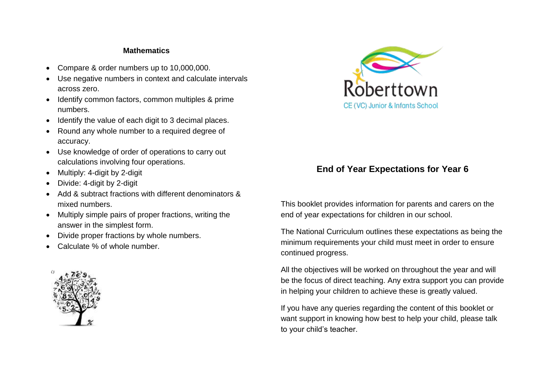## **Mathematics**

- Compare & order numbers up to 10,000,000.
- Use negative numbers in context and calculate intervals across zero.
- Identify common factors, common multiples & prime numbers.
- Identify the value of each digit to 3 decimal places.
- Round any whole number to a required degree of accuracy.
- Use knowledge of order of operations to carry out calculations involving four operations.
- Multiply: 4-digit by 2-digit
- Divide: 4-digit by 2-digit
- Add & subtract fractions with different denominators & mixed numbers.
- Multiply simple pairs of proper fractions, writing the answer in the simplest form.
- Divide proper fractions by whole numbers.
- Calculate % of whole number.





## **End of Year Expectations for Year 6**

This booklet provides information for parents and carers on the end of year expectations for children in our school.

The National Curriculum outlines these expectations as being the minimum requirements your child must meet in order to ensure continued progress.

All the objectives will be worked on throughout the year and will be the focus of direct teaching. Any extra support you can provide in helping your children to achieve these is greatly valued.

If you have any queries regarding the content of this booklet or want support in knowing how best to help your child, please talk to your child's teacher.